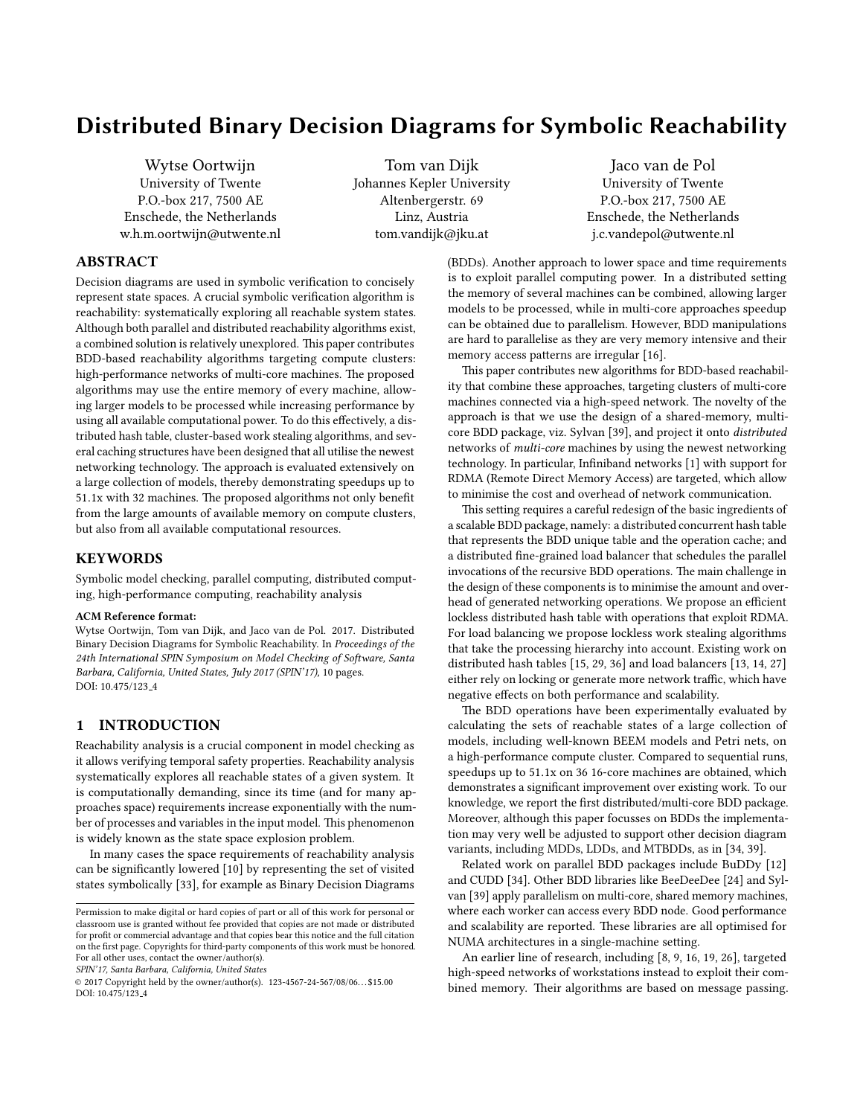# Distributed Binary Decision Diagrams for Symbolic Reachability

Wytse Oortwijn University of Twente P.O.-box 217, 7500 AE Enschede, the Netherlands w.h.m.oortwijn@utwente.nl

Tom van Dijk Johannes Kepler University Altenbergerstr. 69 Linz, Austria tom.vandijk@jku.at

Jaco van de Pol University of Twente P.O.-box 217, 7500 AE Enschede, the Netherlands j.c.vandepol@utwente.nl

# ABSTRACT

Decision diagrams are used in symbolic verification to concisely represent state spaces. A crucial symbolic verification algorithm is reachability: systematically exploring all reachable system states. Although both parallel and distributed reachability algorithms exist, a combined solution is relatively unexplored. This paper contributes BDD-based reachability algorithms targeting compute clusters: high-performance networks of multi-core machines. The proposed algorithms may use the entire memory of every machine, allowing larger models to be processed while increasing performance by using all available computational power. To do this effectively, a distributed hash table, cluster-based work stealing algorithms, and several caching structures have been designed that all utilise the newest networking technology. The approach is evaluated extensively on a large collection of models, thereby demonstrating speedups up to  $51.1x$  with 32 machines. The proposed algorithms not only benefit from the large amounts of available memory on compute clusters, but also from all available computational resources.

## **KEYWORDS**

Symbolic model checking, parallel computing, distributed computing, high-performance computing, reachability analysis

#### ACM Reference format:

Wytse Oortwijn, Tom van Dijk, and Jaco van de Pol. 2017. Distributed Binary Decision Diagrams for Symbolic Reachability. In Proceedings of the 24th International SPIN Symposium on Model Checking of Software, Santa Barbara, California, United States, July 2017 (SPIN'17), [10](#page-9-0) pages. DOI: 10.475/123<sub>-4</sub>

## 1 INTRODUCTION

Reachability analysis is a crucial component in model checking as it allows verifying temporal safety properties. Reachability analysis systematically explores all reachable states of a given system. It is computationally demanding, since its time (and for many approaches space) requirements increase exponentially with the number of processes and variables in the input model. This phenomenon is widely known as the state space explosion problem.

In many cases the space requirements of reachability analysis can be signicantly lowered [\[10\]](#page-9-1) by representing the set of visited states symbolically [\[33\]](#page-9-2), for example as Binary Decision Diagrams

SPIN'17, Santa Barbara, California, United States

(BDDs). Another approach to lower space and time requirements is to exploit parallel computing power. In a distributed setting the memory of several machines can be combined, allowing larger models to be processed, while in multi-core approaches speedup can be obtained due to parallelism. However, BDD manipulations are hard to parallelise as they are very memory intensive and their memory access patterns are irregular [\[16\]](#page-9-3).

This paper contributes new algorithms for BDD-based reachability that combine these approaches, targeting clusters of multi-core machines connected via a high-speed network. The novelty of the approach is that we use the design of a shared-memory, multicore BDD package, viz. Sylvan [\[39\]](#page-9-4), and project it onto distributed networks of multi-core machines by using the newest networking technology. In particular, Infiniband networks [\[1\]](#page-9-5) with support for RDMA (Remote Direct Memory Access) are targeted, which allow to minimise the cost and overhead of network communication.

This setting requires a careful redesign of the basic ingredients of a scalable BDD package, namely: a distributed concurrent hash table that represents the BDD unique table and the operation cache; and a distributed fine-grained load balancer that schedules the parallel invocations of the recursive BDD operations. The main challenge in the design of these components is to minimise the amount and overhead of generated networking operations. We propose an efficient lockless distributed hash table with operations that exploit RDMA. For load balancing we propose lockless work stealing algorithms that take the processing hierarchy into account. Existing work on distributed hash tables [\[15,](#page-9-6) [29,](#page-9-7) [36\]](#page-9-8) and load balancers [\[13,](#page-9-9) [14,](#page-9-10) [27\]](#page-9-11) either rely on locking or generate more network traffic, which have negative effects on both performance and scalability.

The BDD operations have been experimentally evaluated by calculating the sets of reachable states of a large collection of models, including well-known BEEM models and Petri nets, on a high-performance compute cluster. Compared to sequential runs, speedups up to 51.1x on 36 16-core machines are obtained, which demonstrates a significant improvement over existing work. To our knowledge, we report the first distributed/multi-core BDD package. Moreover, although this paper focusses on BDDs the implementation may very well be adjusted to support other decision diagram variants, including MDDs, LDDs, and MTBDDs, as in [\[34,](#page-9-12) [39\]](#page-9-4).

Related work on parallel BDD packages include BuDDy [\[12\]](#page-9-13) and CUDD [\[34\]](#page-9-12). Other BDD libraries like BeeDeeDee [\[24\]](#page-9-14) and Sylvan [\[39\]](#page-9-4) apply parallelism on multi-core, shared memory machines, where each worker can access every BDD node. Good performance and scalability are reported. These libraries are all optimised for NUMA architectures in a single-machine setting.

An earlier line of research, including [\[8,](#page-9-15) [9,](#page-9-16) [16,](#page-9-3) [19,](#page-9-17) [26\]](#page-9-18), targeted high-speed networks of workstations instead to exploit their combined memory. Their algorithms are based on message passing.

Permission to make digital or hard copies of part or all of this work for personal or classroom use is granted without fee provided that copies are not made or distributed for profit or commercial advantage and that copies bear this notice and the full citation on the first page. Copyrights for third-party components of this work must be honored. For all other uses, contact the owner/author(s).

<sup>©</sup> 2017 Copyright held by the owner/author(s). 123-4567-24-567/08/06. . . \$15.00 DOI: 10.475/123<sub>-4</sub>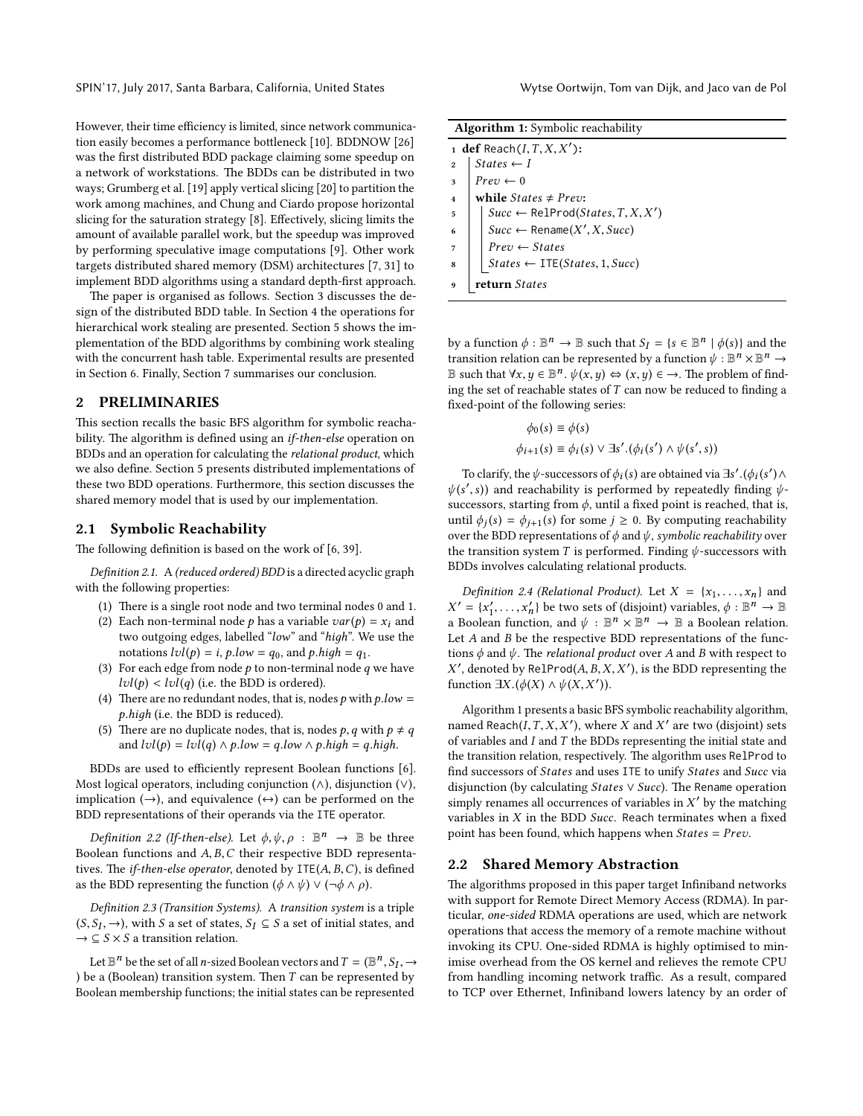However, their time efficiency is limited, since network communica-tion easily becomes a performance bottleneck [\[10\]](#page-9-1). BDDNOW [\[26\]](#page-9-18) was the first distributed BDD package claiming some speedup on a network of workstations. The BDDs can be distributed in two ways; Grumberg et al. [\[19\]](#page-9-17) apply vertical slicing [\[20\]](#page-9-19) to partition the work among machines, and Chung and Ciardo propose horizontal slicing for the saturation strategy  $[8]$ . Effectively, slicing limits the amount of available parallel work, but the speedup was improved by performing speculative image computations [\[9\]](#page-9-16). Other work targets distributed shared memory (DSM) architectures [\[7,](#page-9-20) [31\]](#page-9-21) to implement BDD algorithms using a standard depth-first approach.

The paper is organised as follows. [Section 3](#page-2-0) discusses the design of the distributed BDD table. In [Section 4](#page-3-0) the operations for hierarchical work stealing are presented. [Section 5](#page-5-0) shows the implementation of the BDD algorithms by combining work stealing with the concurrent hash table. Experimental results are presented in [Section 6.](#page-6-0) Finally, [Section 7](#page-8-0) summarises our conclusion.

## <span id="page-1-3"></span>2 PRELIMINARIES

This section recalls the basic BFS algorithm for symbolic reachability. The algorithm is defined using an *if-then-else* operation on BDDs and an operation for calculating the relational product, which we also define. [Section 5](#page-5-0) presents distributed implementations of these two BDD operations. Furthermore, this section discusses the shared memory model that is used by our implementation.

#### 2.1 Symbolic Reachability

The following definition is based on the work of  $[6, 39]$  $[6, 39]$ .

Definition 2.1. A (reduced ordered) BDD is a directed acyclic graph with the following properties:

- (1) There is a single root node and two terminal nodes  $0$  and  $1$ .
- (2) Each non-terminal node *p* has a variable  $var(p) = x_i$  and two outgoing edges, labelled "low" and "hiдh". We use the notations  $lvl(p) = i, p, low = q_0,$  and  $p, high = q_1$ .
- (3) For each edge from node  $p$  to non-terminal node  $q$  we have  $lvl(p)$  <  $lvl(q)$  (i.e. the BDD is ordered).
- (4) There are no redundant nodes, that is, nodes p with  $p.low =$ p.hiдh (i.e. the BDD is reduced).
- (5) There are no duplicate nodes, that is, nodes p, q with  $p \neq q$ and  $lvl(p) =ۍlvl(q) \wedge p, low = q, low \wedge p, high = q, high.$

BDDs are used to efficiently represent Boolean functions [\[6\]](#page-9-22). Most logical operators, including conjunction  $(\wedge)$ , disjunction  $(\vee)$ , implication  $(\rightarrow)$ , and equivalence  $(\leftrightarrow)$  can be performed on the BDD representations of their operands via the ITE operator.

<span id="page-1-1"></span>Definition 2.2 (If-then-else). Let  $\phi, \psi, \rho : \mathbb{B}^n \to \mathbb{B}$  be three plean functions and  $ABC$  their respective BDD representa-Boolean functions and A, B,C their respective BDD representatives. The *if-then-else operator*, denoted by  $ITE(A, B, C)$ , is defined as the BDD representing the function  $(\phi \land \psi) \lor (\neg \phi \land \rho)$ .

Definition 2.3 (Transition Systems). A transition system is a triple  $(S, S_I, \rightarrow)$ , with S a set of states,  $S_I \subseteq S$  a set of initial states, and  $\rightarrow \subseteq S \times S$  a transition relation  $\rightarrow \subseteq S \times S$  a transition relation.

Let  $\mathbb{B}^n$  be the set of all *n*-sized Boolean vectors and  $T = (\mathbb{B}^n, S_I, \rightarrow$ <br>e.g. (Boolean) transition system. Then *T* can be represented by ) be a (Boolean) transition system. Then  $T$  can be represented by  $\lambda$ Boolean membership functions; the initial states can be represented

|  |  | <b>Algorithm 1:</b> Symbolic reachability |  |
|--|--|-------------------------------------------|--|
|--|--|-------------------------------------------|--|

|                         | 1 def Reach $(I, T, X, X')$ :                                                                                                                                  |
|-------------------------|----------------------------------------------------------------------------------------------------------------------------------------------------------------|
| $\overline{2}$          | $States \leftarrow I$                                                                                                                                          |
| $\overline{\mathbf{3}}$ | $Prev \leftarrow 0$                                                                                                                                            |
| $\overline{4}$          | while $States \neq \text{Prev}:$                                                                                                                               |
| $\overline{5}$          | $\begin{cases} \textit{Succ} \leftarrow \text{RelProd}(\textit{States}, T, X, X') \\ \textit{Succ} \leftarrow \text{Rename}(X', X, \textit{Succ}) \end{cases}$ |
| $6\overline{6}$         |                                                                                                                                                                |
| $\overline{7}$          | $Prev \leftarrow States$                                                                                                                                       |
| $\overline{8}$          | $States \leftarrow \text{ITE}(States, 1, Succ)$                                                                                                                |
|                         | return States                                                                                                                                                  |

<span id="page-1-0"></span>by a function  $\phi : \mathbb{B}^n \to \mathbb{B}$  such that  $S_I = \{s \in \mathbb{B}^n \mid \phi(s)\}$  and the transition relation can be represented by a function  $\psi : \mathbb{R}^n \times \mathbb{R}^n \to$ transition relation can be represented by a function  $\psi : \mathbb{B}^n \times \mathbb{B}^n \to \mathbb{R}$ <br> $\mathbb{R}$  such that  $\forall x, y \in \mathbb{R}^n$ ,  $\psi(x, y) \leftrightarrow (x, y) \in \to \mathbb{R}$  a problem of find B such that  $∀x, y ∈ B<sup>n</sup>$ .  $ψ(x, y) ∈ χ(x, y) ∈ →$ . The problem of find-<br>ing the set of reachable states of T can now be reduced to finding a ing the set of reachable states of  $T$  can now be reduced to finding a xed-point of the following series:

$$
\phi_0(s) \equiv \phi(s)
$$
  

$$
\phi_{i+1}(s) \equiv \phi_i(s) \lor \exists s'.(\phi_i(s') \land \psi(s',s))
$$

To clarify, the  $\psi$ -successors of  $\phi_i(s)$  are obtained via  $\exists s'.(\phi_i(s') \wedge \phi'_i(s))$  and reachability is performed by repeatedly finding  $\psi_i$  $\psi(s', s)$  and reachability is performed by repeatedly finding  $\psi$ -successors starting from  $\phi$  until a fixed point is reached that is successors, starting from  $\phi$ , until a fixed point is reached, that is, until  $\phi_j(s) = \phi_{j+1}(s)$  for some  $j \ge 0$ . By computing reachability over over the BDD representations of  $\phi$  and  $\psi$ , symbolic reachability over the transition system  $T$  is performed. Finding  $\psi$ -successors with BDDs involves calculating relational products.

<span id="page-1-2"></span>Definition 2.4 (Relational Product). Let  $X = \{x_1, \ldots, x_n\}$  and a Boolean function, and  $\psi : \mathbb{B}^n \times \mathbb{B}^n \to \mathbb{B}$  a Boolean relation.<br>Let 4 and R be the respective BDD representations of the func- $\mathcal{O} = \{x'_1, \ldots, x'_n\}$  be two sets of (disjoint) variables,  $\phi : \mathbb{B}^n \to \mathbb{B}$ <br>Boolean function, and  $\psi : \mathbb{R}^n \to \mathbb{R}$  a Boolean relation Let A and B be the respective BDD representations of the functions  $\phi$  and  $\psi$ . The *relational product* over A and B with respect to function  $\exists X.(\phi(X) \land \psi(X, X'))$ . , denoted by RelProd $(A, B, X, X')$ , is the BDD representing the notion  $\exists X (\phi(X), \phi(y, Y'))$ 

[Algorithm 1](#page-1-0) presents a basic BFS symbolic reachability algorithm, named Reach( $\overline{I}, T, X, X'$ ), where X and X' are two (disjoint) sets of variables and I and T the BDDs representing the initial state and of variables and  $I$  and  $T$  the BDDs representing the initial state and the transition relation, respectively. The algorithm uses RelProd to find successors of States and uses ITE to unify States and Succ via disjunction (by calculating *States*  $\vee$  *Succ*). The Rename operation simply renames all occurrences of variables in  $X'$  by the matching<br>variables in  $X$  in the BDD Succ. Beach terminates when a fixed variables in  $X$  in the BDD Succ. Reach terminates when a fixed point has been found, which happens when  $States = Prev$ .

#### 2.2 Shared Memory Abstraction

The algorithms proposed in this paper target Infiniband networks with support for Remote Direct Memory Access (RDMA). In particular, one-sided RDMA operations are used, which are network operations that access the memory of a remote machine without invoking its CPU. One-sided RDMA is highly optimised to minimise overhead from the OS kernel and relieves the remote CPU from handling incoming network traffic. As a result, compared to TCP over Ethernet, Infiniband lowers latency by an order of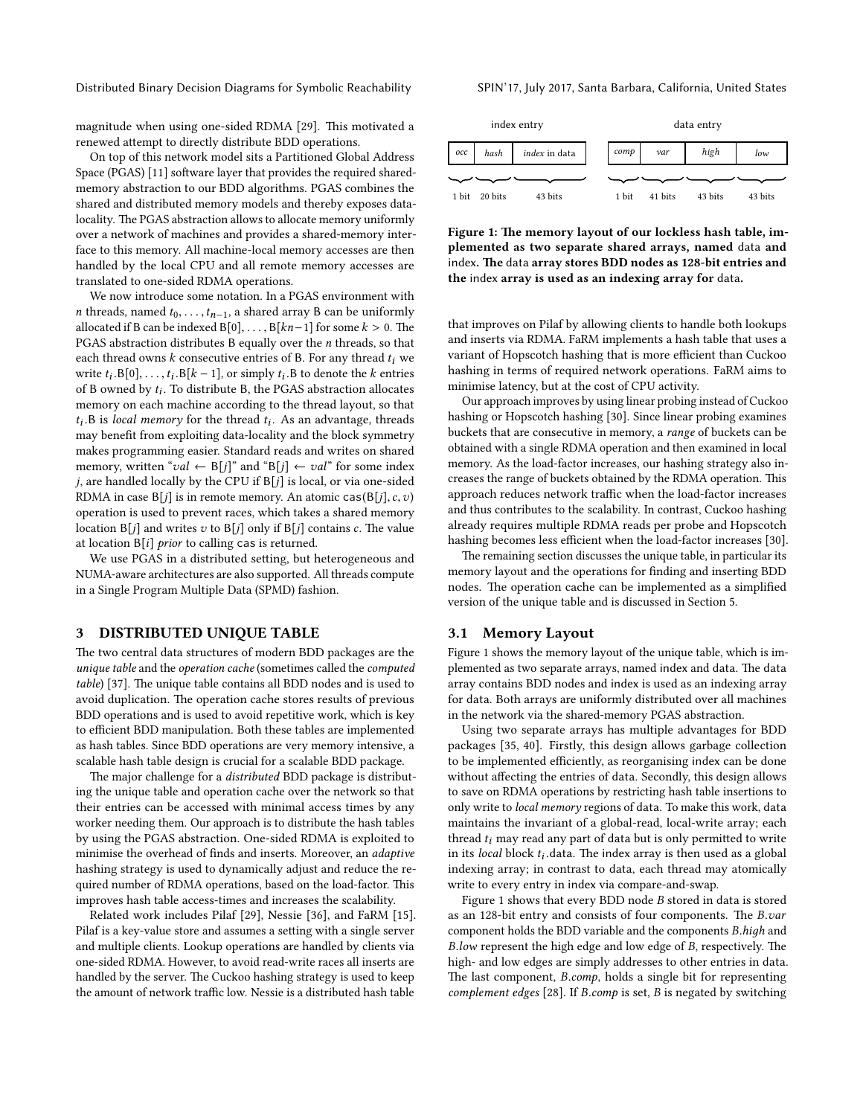Distributed Binary Decision Diagrams for Symbolic Reachability SPIN'17, July 2017, Santa Barbara, California, United States

magnitude when using one-sided RDMA [\[29\]](#page-9-7). This motivated a renewed attempt to directly distribute BDD operations.

On top of this network model sits a Partitioned Global Address Space (PGAS) [\[11\]](#page-9-23) software layer that provides the required sharedmemory abstraction to our BDD algorithms. PGAS combines the shared and distributed memory models and thereby exposes datalocality. The PGAS abstraction allows to allocate memory uniformly over a network of machines and provides a shared-memory interface to this memory. All machine-local memory accesses are then handled by the local CPU and all remote memory accesses are translated to one-sided RDMA operations.

We now introduce some notation. In a PGAS environment with *n* threads, named  $t_0, \ldots, t_{n-1}$ , a shared array B can be uniformly allocated if B can be indexed B[0], ..., B[ $kn-1$ ] for some  $k > 0$ . The PGAS abstraction distributes <sup>B</sup> equally over the n threads, so that each thread owns  $k$  consecutive entries of B. For any thread  $t_i$  we write  $t_i$ .  $B[0], \ldots, t_i$ .  $B[k-1]$ , or simply  $t_i$ . B to denote the k entries of B owned by  $t_i$ . To distribute B the PCAS abstraction allocates of B owned by  $t_i$ . To distribute B, the PGAS abstraction allocates<br>memory on each machine according to the thread layout, so that memory on each machine according to the thread layout, so that the may benefit from exploiting data-locality and the block symmetry  $B$  is *local memory* for the thread  $t_i$ . As an advantage, threads<br>ay benefit from exploiting data-locality and the block symmetry makes programming easier. Standard reads and writes on shared memory, written "val  $\leftarrow$  B[j]" and "B[j]  $\leftarrow$  val" for some index  $j$ , are handled locally by the CPU if  $B[j]$  is local, or via one-sided RDMA in case  $B[j]$  is in remote memory. An atomic cas( $B[j], c, v$ ) operation is used to prevent races, which takes a shared memory location  $B[j]$  and writes v to  $B[j]$  only if  $B[j]$  contains c. The value at location  $B[i]$  prior to calling cas is returned.

We use PGAS in a distributed setting, but heterogeneous and NUMA-aware architectures are also supported. All threads compute in a Single Program Multiple Data (SPMD) fashion.

### <span id="page-2-0"></span>3 DISTRIBUTED UNIQUE TABLE

The two central data structures of modern BDD packages are the unique table and the operation cache (sometimes called the computed table) [\[37\]](#page-9-24). The unique table contains all BDD nodes and is used to avoid duplication. The operation cache stores results of previous BDD operations and is used to avoid repetitive work, which is key to efficient BDD manipulation. Both these tables are implemented as hash tables. Since BDD operations are very memory intensive, a scalable hash table design is crucial for a scalable BDD package.

The major challenge for a *distributed* BDD package is distributing the unique table and operation cache over the network so that their entries can be accessed with minimal access times by any worker needing them. Our approach is to distribute the hash tables by using the PGAS abstraction. One-sided RDMA is exploited to minimise the overhead of finds and inserts. Moreover, an adaptive hashing strategy is used to dynamically adjust and reduce the required number of RDMA operations, based on the load-factor. This improves hash table access-times and increases the scalability.

Related work includes Pilaf [\[29\]](#page-9-7), Nessie [\[36\]](#page-9-8), and FaRM [\[15\]](#page-9-6). Pilaf is a key-value store and assumes a setting with a single server and multiple clients. Lookup operations are handled by clients via one-sided RDMA. However, to avoid read-write races all inserts are handled by the server. The Cuckoo hashing strategy is used to keep the amount of network traffic low. Nessie is a distributed hash table

<span id="page-2-1"></span>

Figure 1: The memory layout of our lockless hash table, implemented as two separate shared arrays, named data and index. The data array stores BDD nodes as 128-bit entries and the index array is used as an indexing array for data.

that improves on Pilaf by allowing clients to handle both lookups and inserts via RDMA. FaRM implements a hash table that uses a variant of Hopscotch hashing that is more efficient than Cuckoo hashing in terms of required network operations. FaRM aims to minimise latency, but at the cost of CPU activity.

Our approach improves by using linear probing instead of Cuckoo hashing or Hopscotch hashing [\[30\]](#page-9-25). Since linear probing examines buckets that are consecutive in memory, a range of buckets can be obtained with a single RDMA operation and then examined in local memory. As the load-factor increases, our hashing strategy also increases the range of buckets obtained by the RDMA operation. This approach reduces network traffic when the load-factor increases and thus contributes to the scalability. In contrast, Cuckoo hashing already requires multiple RDMA reads per probe and Hopscotch hashing becomes less efficient when the load-factor increases [\[30\]](#page-9-25).

The remaining section discusses the unique table, in particular its memory layout and the operations for finding and inserting BDD nodes. The operation cache can be implemented as a simplified version of the unique table and is discussed in [Section 5.](#page-5-0)

#### 3.1 Memory Layout

[Figure 1](#page-2-1) shows the memory layout of the unique table, which is implemented as two separate arrays, named index and data. The data array contains BDD nodes and index is used as an indexing array for data. Both arrays are uniformly distributed over all machines in the network via the shared-memory PGAS abstraction.

Using two separate arrays has multiple advantages for BDD packages [\[35,](#page-9-26) [40\]](#page-9-27). Firstly, this design allows garbage collection to be implemented efficiently, as reorganising index can be done without affecting the entries of data. Secondly, this design allows to save on RDMA operations by restricting hash table insertions to only write to local memory regions of data. To make this work, data maintains the invariant of a global-read, local-write array; each thread  $t_i$  may read any part of data but is only permitted to write in its *local* block  $t_i$  data. The index array is then used as a global indexing array: in contrast to data, each thread may atomically indexing array; in contrast to data, each thread may atomically write to every entry in index via compare-and-swap.

[Figure 1](#page-2-1) shows that every BDD node B stored in data is stored as an 128-bit entry and consists of four components. The  $B.var$ component holds the BDD variable and the components B.hiдh and  $B$ .low represent the high edge and low edge of  $B$ , respectively. The high- and low edges are simply addresses to other entries in data. The last component,  $B_{\cdot}$  comp, holds a single bit for representing complement edges [\[28\]](#page-9-28). If B.comp is set, B is negated by switching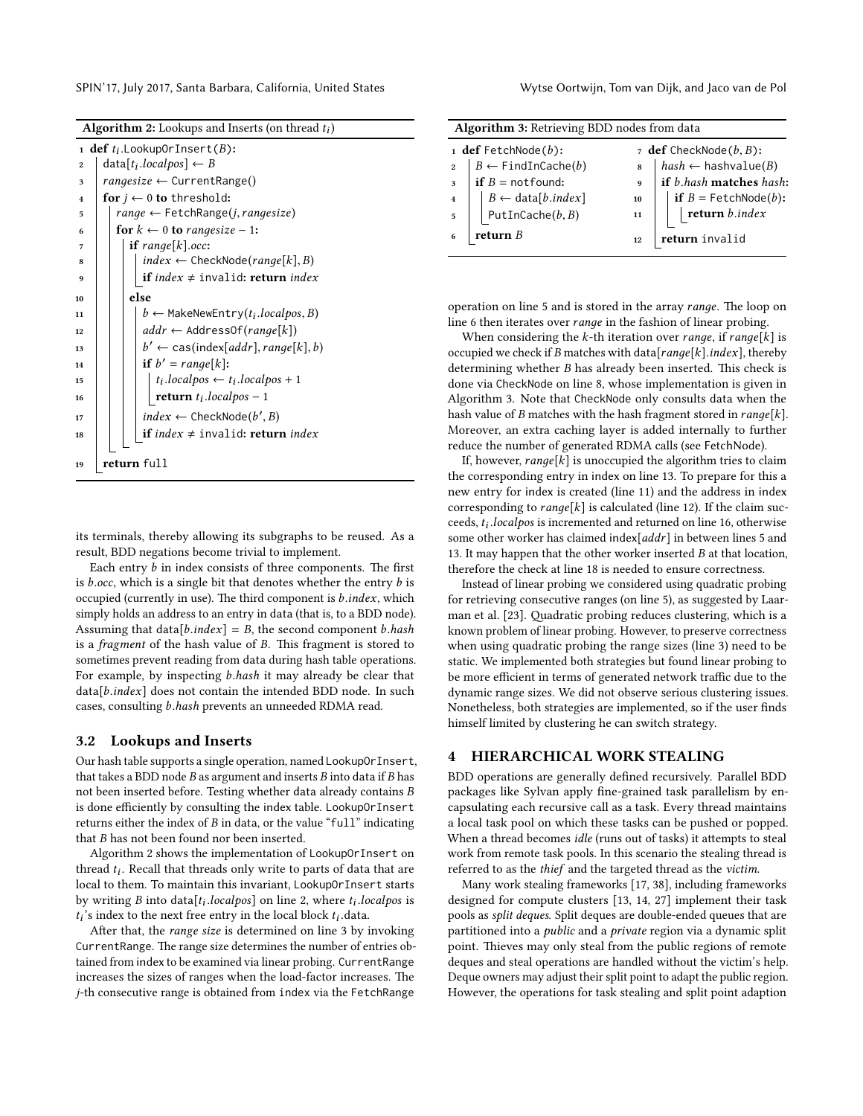|  | <b>Algorithm 2:</b> Lookups and Inserts (on thread $t_i$ ) |  |  |  |
|--|------------------------------------------------------------|--|--|--|
|  |                                                            |  |  |  |

<span id="page-3-10"></span><span id="page-3-9"></span><span id="page-3-6"></span><span id="page-3-5"></span><span id="page-3-4"></span><span id="page-3-3"></span><span id="page-3-2"></span>

|                         | 1 <b>def</b> $t_i$ .Lookup0rInsert( <i>B</i> ):                    |  |  |  |  |  |  |  |  |  |
|-------------------------|--------------------------------------------------------------------|--|--|--|--|--|--|--|--|--|
| $\overline{2}$          | $data[t_i.loadpos] \leftarrow B$                                   |  |  |  |  |  |  |  |  |  |
| 3                       | $range size \leftarrow CurrentRange()$                             |  |  |  |  |  |  |  |  |  |
| $\overline{\mathbf{A}}$ | for $j \leftarrow 0$ to threshold:                                 |  |  |  |  |  |  |  |  |  |
| 5                       | $range \leftarrow \text{FetchRange}(j, range size)$                |  |  |  |  |  |  |  |  |  |
| 6                       | for $k \leftarrow 0$ to rangesize - 1:                             |  |  |  |  |  |  |  |  |  |
| 7                       | <b>if</b> range[ $k$ ].occ:                                        |  |  |  |  |  |  |  |  |  |
| 8                       | $index \leftarrow$ CheckNode(range[k], B)                          |  |  |  |  |  |  |  |  |  |
| 9                       | if $index \neq invalid$ : return $index$                           |  |  |  |  |  |  |  |  |  |
| 10                      | else                                                               |  |  |  |  |  |  |  |  |  |
| 11                      | $b \leftarrow$ MakeNewEntry( $t_i$ .localpos, B)                   |  |  |  |  |  |  |  |  |  |
| 12                      | $addr \leftarrow$ AddressOf(range[k])                              |  |  |  |  |  |  |  |  |  |
| 13                      | $b' \leftarrow \text{cas}(\text{index}[addr], \text{range}[k], b)$ |  |  |  |  |  |  |  |  |  |
| 14                      | <b>if</b> $b' = range[k]$ :                                        |  |  |  |  |  |  |  |  |  |
| 15                      | $t_i$ .localpos $\leftarrow t_i$ .localpos + 1                     |  |  |  |  |  |  |  |  |  |
| 16                      | <b>return</b> $t_i$ <i>localpos</i> – 1                            |  |  |  |  |  |  |  |  |  |
| 17                      | $index \leftarrow CheckNode(b', B)$                                |  |  |  |  |  |  |  |  |  |
| 18                      | if $index \neq invalid$ : return $index$                           |  |  |  |  |  |  |  |  |  |
|                         |                                                                    |  |  |  |  |  |  |  |  |  |
| 19                      | return full                                                        |  |  |  |  |  |  |  |  |  |

<span id="page-3-12"></span><span id="page-3-11"></span><span id="page-3-8"></span><span id="page-3-1"></span>its terminals, thereby allowing its subgraphs to be reused. As a result, BDD negations become trivial to implement.

Each entry  $b$  in index consists of three components. The first is  $b.$ occ, which is a single bit that denotes whether the entry  $b$  is occupied (currently in use). The third component is  $b.index$ , which simply holds an address to an entry in data (that is, to a BDD node). Assuming that data[ $b.index$ ] = B, the second component  $b.hash$ is a *fragment* of the hash value of  $B$ . This fragment is stored to sometimes prevent reading from data during hash table operations. For example, by inspecting b.hash it may already be clear that data[b.index] does not contain the intended BDD node. In such cases, consulting b.hash prevents an unneeded RDMA read.

## 3.2 Lookups and Inserts

Our hash table supports a single operation, named LookupOrInsert, that takes a BDD node  $B$  as argument and inserts  $B$  into data if  $B$  has not been inserted before. Testing whether data already contains B is done efficiently by consulting the index table. LookupOrInsert returns either the index of  $B$  in data, or the value "full" indicating that B has not been found nor been inserted.

[Algorithm 2](#page-3-1) shows the implementation of LookupOrInsert on thread *t<sub>i</sub>*. Recall that threads only write to parts of data that are<br>local to them. To maintain this invariant LookupOrInsert starts local to them. To maintain this invariant, LookupOrInsert starts by writing B into data[t<sub>i</sub>.localpos] on [line 2,](#page-3-2) where  $t_i$ .localpos is the position of the next free entry in the local block to data  $t_i$ 's index to the next free entry in the local block  $t_i$  data.<br>After that, the range size is determined on line 3 by i

After that, the range size is determined on [line 3](#page-3-3) by invoking CurrentRange. The range size determines the number of entries obtained from index to be examined via linear probing. CurrentRange increases the sizes of ranges when the load-factor increases. The j-th consecutive range is obtained from index via the FetchRange

|                         | <b>Algorithm 3: Retrieving BDD nodes from data</b> |    |                                                                                                                      |  |  |  |  |  |  |
|-------------------------|----------------------------------------------------|----|----------------------------------------------------------------------------------------------------------------------|--|--|--|--|--|--|
|                         | $\mathbf{1}$ def FetchNode(b):                     |    | 7 $def$ CheckNode( $b, B$ ):                                                                                         |  |  |  |  |  |  |
| $\overline{2}$          | $B \leftarrow \text{FindInCache}(b)$               | 8  | $hat{h}$ hashvalue(B)                                                                                                |  |  |  |  |  |  |
| $\overline{\mathbf{3}}$ | if $B =$ not found:                                |    | if b.hash matches hash:                                                                                              |  |  |  |  |  |  |
| $\overline{\mathbf{4}}$ | $B \leftarrow data[b.index]$<br>PutInCache(b, B)   | 10 | $\begin{array}{ c c } \hline \textbf{if } B = \texttt{FetchNode}(b): \\ \hline \textbf{return } b.index \end{array}$ |  |  |  |  |  |  |
| $\overline{5}$          |                                                    | 11 |                                                                                                                      |  |  |  |  |  |  |
| return $B$              |                                                    | 12 | return invalid                                                                                                       |  |  |  |  |  |  |

<span id="page-3-7"></span>operation on [line 5](#page-3-4) and is stored in the array range. The loop on [line 6](#page-3-5) then iterates over ranдe in the fashion of linear probing.

When considering the k-th iteration over range, if range[k] is occupied we check if B matches with data[ $range[k].index]$ , thereby determining whether  $B$  has already been inserted. This check is done via CheckNode on [line 8,](#page-3-6) whose implementation is given in [Algorithm 3.](#page-3-7) Note that CheckNode only consults data when the hash value of B matches with the hash fragment stored in  $range[k]$ . Moreover, an extra caching layer is added internally to further reduce the number of generated RDMA calls (see FetchNode).

If, however,  $range[k]$  is unoccupied the algorithm tries to claim the corresponding entry in index on [line 13.](#page-3-8) To prepare for this a new entry for index is created [\(line 11\)](#page-3-9) and the address in index corresponding to  $range[k]$  is calculated [\(line 12\)](#page-3-10). If the claim succeeds,  $t_i$ .localpos is incremented and returned on [line 16,](#page-3-11) otherwise<br>some other worker has claimed index [addr] in hetween lines 5 and some other worker has claimed index[addr] in between lines [5](#page-3-4) and [13.](#page-3-8) It may happen that the other worker inserted  $B$  at that location, therefore the check at [line 18](#page-3-12) is needed to ensure correctness.

Instead of linear probing we considered using quadratic probing for retrieving consecutive ranges (on [line 5\)](#page-3-4), as suggested by Laar-man et al. [\[23\]](#page-9-29). Quadratic probing reduces clustering, which is a known problem of linear probing. However, to preserve correctness when using quadratic probing the range sizes [\(line 3\)](#page-3-3) need to be static. We implemented both strategies but found linear probing to be more efficient in terms of generated network traffic due to the dynamic range sizes. We did not observe serious clustering issues. Nonetheless, both strategies are implemented, so if the user finds himself limited by clustering he can switch strategy.

# <span id="page-3-0"></span>4 HIERARCHICAL WORK STEALING

BDD operations are generally defined recursively. Parallel BDD packages like Sylvan apply fine-grained task parallelism by encapsulating each recursive call as a task. Every thread maintains a local task pool on which these tasks can be pushed or popped. When a thread becomes idle (runs out of tasks) it attempts to steal work from remote task pools. In this scenario the stealing thread is referred to as the thief and the targeted thread as the victim.

Many work stealing frameworks [\[17,](#page-9-30) [38\]](#page-9-31), including frameworks designed for compute clusters [\[13,](#page-9-9) [14,](#page-9-10) [27\]](#page-9-11) implement their task pools as split deques. Split deques are double-ended queues that are partitioned into a public and a private region via a dynamic split point. Thieves may only steal from the public regions of remote deques and steal operations are handled without the victim's help. Deque owners may adjust their split point to adapt the public region. However, the operations for task stealing and split point adaption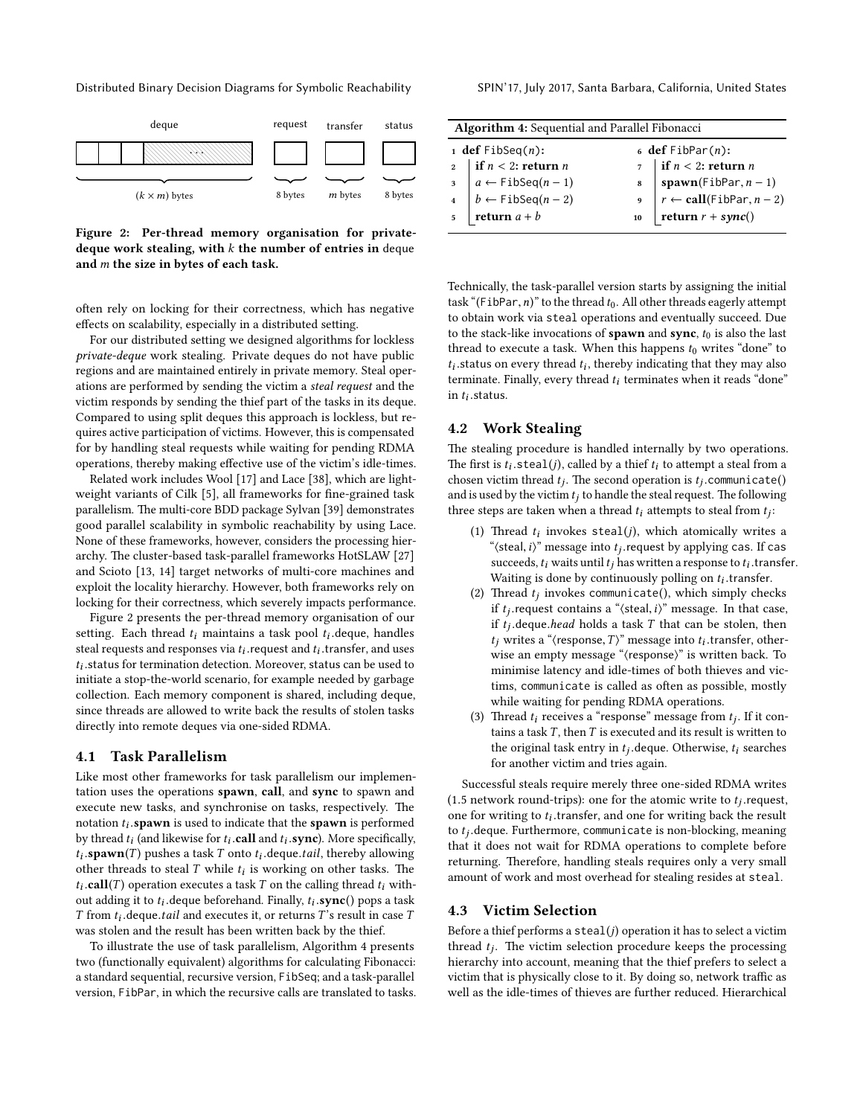Distributed Binary Decision Diagrams for Symbolic Reachability SPIN'17, July 2017, Santa Barbara, California, United States

<span id="page-4-0"></span>

Figure 2: Per-thread memory organisation for privatedeque work stealing, with  $k$  the number of entries in deque and m the size in bytes of each task.

often rely on locking for their correctness, which has negative effects on scalability, especially in a distributed setting.

For our distributed setting we designed algorithms for lockless private-deque work stealing. Private deques do not have public regions and are maintained entirely in private memory. Steal operations are performed by sending the victim a steal request and the victim responds by sending the thief part of the tasks in its deque. Compared to using split deques this approach is lockless, but requires active participation of victims. However, this is compensated for by handling steal requests while waiting for pending RDMA operations, thereby making effective use of the victim's idle-times.

Related work includes Wool [\[17\]](#page-9-30) and Lace [\[38\]](#page-9-31), which are light-weight variants of Cilk [\[5\]](#page-9-32), all frameworks for fine-grained task parallelism. The multi-core BDD package Sylvan [\[39\]](#page-9-4) demonstrates good parallel scalability in symbolic reachability by using Lace. None of these frameworks, however, considers the processing hier-archy. The cluster-based task-parallel frameworks HotSLAW [\[27\]](#page-9-11) and Scioto [\[13,](#page-9-9) [14\]](#page-9-10) target networks of multi-core machines and exploit the locality hierarchy. However, both frameworks rely on locking for their correctness, which severely impacts performance.

[Figure 2](#page-4-0) presents the per-thread memory organisation of our setting. Each thread  $t_i$  maintains a task pool  $t_i$  deque, handles<br>steal requests and responses via ty request and ty transfer, and uses steal requests and responses via  $t_i$  request and  $t_i$  transfer, and uses<br>to status for termination detection. Moreover, status can be used to ti initiate a stop-the-world scenario, for example needed by garbage  $t_i$ . status for termination detection. Moreover, status can be used to collection. Each memory component is shared, including deque, since threads are allowed to write back the results of stolen tasks directly into remote deques via one-sided RDMA.

## 4.1 Task Parallelism

Like most other frameworks for task parallelism our implementation uses the operations spawn, call, and sync to spawn and execute new tasks, and synchronise on tasks, respectively. The notation  $t_i$  spawn is used to indicate that the spawn is performed<br>by thread to (and likewise for to call and to sync). More specifically by thread  $t_i$  (and likewise for  $t_i$  call and  $t_i$  sync). More specifically,<br>t. snown(T) pushes a task T onto t. degue tail, thereby allowing other threads to steal T while  $t_i$  is working on other tasks. The  $t_i$  call(T) operation executes a task T on the calling thread to with **spawn**(T) pushes a task T onto  $t_i$  deque.tail, thereby allowing<br>ther threads to steal T while ty is working on other tasks. The tion of the time of the contract of the contract of the contract of the contract of the contract of the contract of  $\tau$  from the deque tail and executes it or returns  $\tau$ 's result in case  $\tau$  $t_i$ .call(T) operation executes a task T on the calling thread  $t_i$  with- $T$  from  $t_i$  deque.*tail* and executes it, or returns  $T$ 's result in case  $T$ <br>was stalen and the result has been written back by the thief was stolen and the result has been written back by the thief.

To illustrate the use of task parallelism, [Algorithm 4](#page-4-1) presents two (functionally equivalent) algorithms for calculating Fibonacci: a standard sequential, recursive version, FibSeq; and a task-parallel version, FibPar, in which the recursive calls are translated to tasks.

| <b>Algorithm 4:</b> Sequential and Parallel Fibonacci |                                                                                                                          |  |                                                                                                                                                                                                                                                               |  |  |  |  |  |
|-------------------------------------------------------|--------------------------------------------------------------------------------------------------------------------------|--|---------------------------------------------------------------------------------------------------------------------------------------------------------------------------------------------------------------------------------------------------------------|--|--|--|--|--|
|                                                       | 1 def $FibSeq(n)$ :<br>$6$ def FibPar $(n)$ :                                                                            |  |                                                                                                                                                                                                                                                               |  |  |  |  |  |
|                                                       | 2<br>1<br>3<br>$a \leftarrow \text{FibSeq}(n-1)$<br>4<br>$b \leftarrow \text{FibSeq}(n-2)$<br>5<br><b>return</b> $a + b$ |  | $\begin{array}{c}\n\text{?} \quad \text{if } n < 2 \text{: return } n \\ \text{s} \quad \text{spam}(\text{FibPar}, n-1) \\ \text{s} \quad \text{?} \quad \text{``call}(\text{FibPar}, n-2) \\ \text{?} \quad \text{return } r + \text{sync}() \\ \end{array}$ |  |  |  |  |  |
|                                                       |                                                                                                                          |  |                                                                                                                                                                                                                                                               |  |  |  |  |  |
|                                                       |                                                                                                                          |  |                                                                                                                                                                                                                                                               |  |  |  |  |  |
|                                                       |                                                                                                                          |  |                                                                                                                                                                                                                                                               |  |  |  |  |  |
|                                                       |                                                                                                                          |  |                                                                                                                                                                                                                                                               |  |  |  |  |  |

<span id="page-4-1"></span>Technically, the task-parallel version starts by assigning the initial task "(FibPar,  $n$ )" to the thread  $t_0$ . All other threads eagerly attempt to obtain work via steal operations and eventually succeed. Due to the stack-like invocations of  $\text{spam}$  and  $\text{sync}, t_0$  is also the last thread to execute a task. When this happens  $t_0$  writes "done" to terminate. Finally, every thread  $t_i$  terminates when it reads "done"<br>in  $t_i$  status status on every thread  $t_i$ , thereby indicating that they may also<br>rminate. Finally, every thread to terminates when it reads "done" in  $t_i$  status.

#### 4.2 Work Stealing

The stealing procedure is handled internally by two operations. The first is  $t_i$ . steal(*j*), called by a thief  $t_i$  to attempt a steal from a chosen victim thread  $t_i$ . The second operation is  $t_i$ . communicate() chosen victim thread  $t_j$ . The second operation is  $t_j$ . communicate()<br>and is used by the victim  $t$ : to bandle the steal request. The following and is used by the victim  $t_i$  to handle the steal request. The following three steps are taken when a thread  $t_i$  attempts to steal from  $t_j$ :

- (1) Thread  $t_i$  invokes steal(*j*), which atomically writes a<br>"(steal i)" message into type request by applying  $\cos H \cos$ "(steal, *i*)" message into  $t_j$  request by applying cas. If cases succeeds to write until to be written a response to to transf succeeds,  $t_i$  waits until  $t_j$  has written a response to  $t_i$  transfer.<br>Waiting is done by continuously polling on  $t_i$  transfer Waiting is done by continuously polling on  $t_i$  transfer.<br>Thread thin wokes communicate(), which simply chec
- (2) Thread  $t_j$  invokes communicate(), which simply checks<br>if types contains a "/cteal i)" message. In that case if  $t_j$  request contains a "(steal, i)" message. In that case,<br>if  $t_j$  deque head holds a task  $T$  that can be stolen, then if  $t_j$  deque *head* holds a task  $T$  that can be stolen, then  $t_j$  writes a "/response  $T$ )" message into  $t_j$  transfer, other  $t_j$  writes a "(response,  $T$ )" message into  $t_i$  transfer, other-<br>wise an empty message "(response)" is written back. To wise an empty message "(response)" is written back. To minimise latency and idle-times of both thieves and victims, communicate is called as often as possible, mostly while waiting for pending RDMA operations.
- (3) Thread  $t_i$  receives a "response" message from  $t_j$ . If it contains a took  $T$  then  $T$  is executed and its result is written to tains a task  $T$ , then  $T$  is executed and its result is written to the original task entry in  $t_j$  deque. Otherwise,  $t_i$  searches<br>for another victim and trise again for another victim and tries again.

Successful steals require merely three one-sided RDMA writes (1.5 network round-trips): one for the atomic write to  $t_j$  request,<br>one for writing to t, transfer and one for writing back the result one for writing to  $t_i$  transfer, and one for writing back the result<br>to the degue Eurthermore, communicate is non-blocking, meaning to  $t_j$ .deque. Furthermore, communicate is non-blocking, meaning<br>that it does not wait for PDMA operations to complete before that it does not wait for RDMA operations to complete before returning. Therefore, handling steals requires only a very small amount of work and most overhead for stealing resides at steal.

#### 4.3 Victim Selection

Before a thief performs a  $\text{steal}(j)$  operation it has to select a victim thread  $t_j$ . The victim selection procedure keeps the processing<br>hierarchy into account meaning that the thief prefers to select a hierarchy into account, meaning that the thief prefers to select a victim that is physically close to it. By doing so, network traffic as well as the idle-times of thieves are further reduced. Hierarchical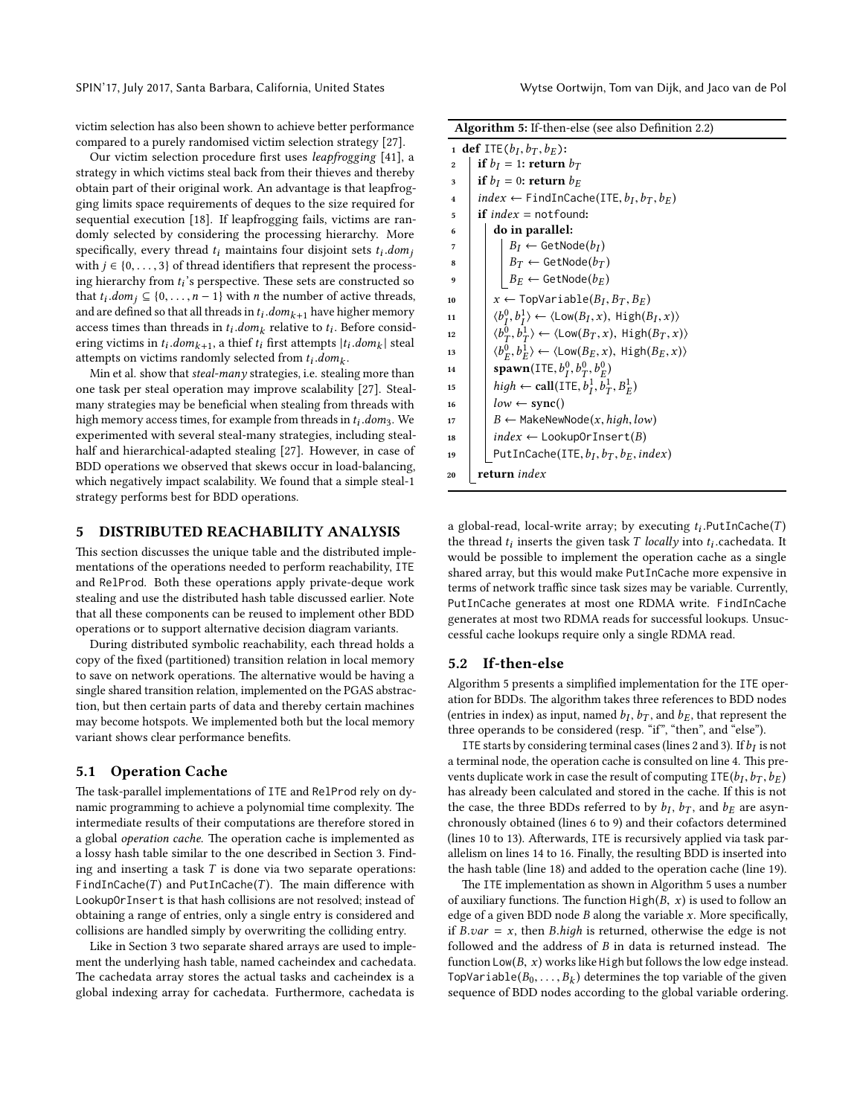victim selection has also been shown to achieve better performance compared to a purely randomised victim selection strategy [\[27\]](#page-9-11).

Our victim selection procedure first uses leapfrogging [\[41\]](#page-9-33), a strategy in which victims steal back from their thieves and thereby obtain part of their original work. An advantage is that leapfrogging limits space requirements of deques to the size required for sequential execution [\[18\]](#page-9-34). If leapfrogging fails, victims are randomly selected by considering the processing hierarchy. More specifically, every thread  $t_i$  maintains four disjoint sets  $t_i$ .dom<sub>i</sub> with  $j \in \{0, \ldots, 3\}$  of thread identifiers that represent the process-<br>ing bigraphy from t<sup>2</sup>s perspective. These sets are constructed so ing hierarchy from  $t_i$ 's perspective. These sets are constructed so<br>that  $t_i$  dom:  $\subseteq$  10 = n = 1) with n the number of active threads that  $t_i \cdot dom_j \subseteq \{0, \ldots, n-1\}$  with *n* the number of active threads,<br>and are defined so that all threads in t: dom: shave higher memory and are defined so that all threads in  $t_i$  dom<sub>k+1</sub> have higher memory<br>access times than threads in  $t_i$  dom<sub>k</sub> relative to  $t_j$ . Before consider access times than threads in  $t_i \cdot dom_k$  relative to  $t_i$ . Before considering victims in  $t_i$  domes a thief  $t_i$  first attenuate  $|t_i|$  domes attenuate ering victims in  $t_i$ ,  $dom_{k+1}$ , a thief  $t_i$  first attempts  $|t_i$ ,  $dom_k|$  steal<br>attempts on victims randomly selected from  $t_i$ ,  $dom_i$ . ering victims in  $t_i$  *aom<sub>k+1</sub>*, a ther  $t_i$  first attempts  $|t_i|$ <br>attempts on victims randomly selected from  $t_i$  *.dom<sub>k</sub>*.<br>Min et al. show that *steal-many* strategies i.e. stealii

Min et al. show that *steal-many* strategies, i.e. stealing more than one task per steal operation may improve scalability [\[27\]](#page-9-11). Stealmany strategies may be beneficial when stealing from threads with high memory access times, for example from threads in t<sub>i</sub> .dom<sub>3</sub>. We<br>experimented with several steal-many strategies, including stealexperimented with several steal-many strategies, including stealhalf and hierarchical-adapted stealing [\[27\]](#page-9-11). However, in case of BDD operations we observed that skews occur in load-balancing, which negatively impact scalability. We found that a simple steal-1 strategy performs best for BDD operations.

## <span id="page-5-0"></span>5 DISTRIBUTED REACHABILITY ANALYSIS

This section discusses the unique table and the distributed implementations of the operations needed to perform reachability, ITE and RelProd. Both these operations apply private-deque work stealing and use the distributed hash table discussed earlier. Note that all these components can be reused to implement other BDD operations or to support alternative decision diagram variants.

During distributed symbolic reachability, each thread holds a copy of the fixed (partitioned) transition relation in local memory to save on network operations. The alternative would be having a single shared transition relation, implemented on the PGAS abstraction, but then certain parts of data and thereby certain machines may become hotspots. We implemented both but the local memory variant shows clear performance benefits.

#### 5.1 Operation Cache

The task-parallel implementations of ITE and RelProd rely on dynamic programming to achieve a polynomial time complexity. The intermediate results of their computations are therefore stored in a global operation cache. The operation cache is implemented as a lossy hash table similar to the one described in [Section 3.](#page-2-0) Finding and inserting a task  $T$  is done via two separate operations: FindInCache(T) and PutInCache(T). The main difference with LookupOrInsert is that hash collisions are not resolved; instead of obtaining a range of entries, only a single entry is considered and collisions are handled simply by overwriting the colliding entry.

Like in [Section 3](#page-2-0) two separate shared arrays are used to implement the underlying hash table, named cacheindex and cachedata. The cachedata array stores the actual tasks and cacheindex is a global indexing array for cachedata. Furthermore, cachedata is

<span id="page-5-7"></span><span id="page-5-6"></span><span id="page-5-5"></span><span id="page-5-4"></span><span id="page-5-3"></span><span id="page-5-2"></span>

| <b>Algorithm 5:</b> If-then-else (see also Definition 2.2) |                                                                                                             |  |  |  |  |  |  |
|------------------------------------------------------------|-------------------------------------------------------------------------------------------------------------|--|--|--|--|--|--|
|                                                            | 1 def ITE $(b_I, b_T, b_F)$ :                                                                               |  |  |  |  |  |  |
| $\bf{2}$                                                   | if $b_I = 1$ : return $b_T$                                                                                 |  |  |  |  |  |  |
| 3                                                          | if $b_I = 0$ : return $b_E$                                                                                 |  |  |  |  |  |  |
| $\overline{\mathbf{4}}$                                    | $index \leftarrow$ FindInCache(ITE, $b_I, b_T, b_E$ )                                                       |  |  |  |  |  |  |
| 5                                                          | if $index = notfound$ :                                                                                     |  |  |  |  |  |  |
| 6                                                          | do in parallel:                                                                                             |  |  |  |  |  |  |
| 7                                                          |                                                                                                             |  |  |  |  |  |  |
| 8                                                          | $\begin{array}{ l} B_I \leftarrow \textsf{GetNode}(b_I) \ B_T \leftarrow \textsf{GetNode}(b_T) \end{array}$ |  |  |  |  |  |  |
| 9                                                          | $B_E \leftarrow$ GetNode $(b_E)$                                                                            |  |  |  |  |  |  |
| 10                                                         | $x \leftarrow$ TopVariable( $B_I, B_T, B_F$ )                                                               |  |  |  |  |  |  |
| 11                                                         | $\langle b_I^0, b_I^1 \rangle \leftarrow \langle \textsf{Low}(B_I, x), \textsf{High}(B_I, x) \rangle$       |  |  |  |  |  |  |
| 12                                                         | $\langle b_T^0, b_T^1 \rangle \leftarrow \langle \textsf{Low}(B_T, x), \textsf{High}(B_T, x) \rangle$       |  |  |  |  |  |  |
| 13                                                         | $\langle b_F^0, b_F^1 \rangle \leftarrow \langle \textsf{Low}(B_E, x), \textsf{High}(B_E, x) \rangle$       |  |  |  |  |  |  |
| 14                                                         | <b>spawn</b> (ITE, $b_T^0$ , $b_T^0$ , $b_F^0$ )                                                            |  |  |  |  |  |  |
| 15                                                         | high $\leftarrow$ call(ITE, $b_I^1, b_T^1, B_F^1$ )                                                         |  |  |  |  |  |  |
| 16                                                         | $low \leftarrow sync()$                                                                                     |  |  |  |  |  |  |
| 17                                                         | $B \leftarrow$ MakeNewNode(x, high, low)                                                                    |  |  |  |  |  |  |
| 18                                                         | $index \leftarrow \text{LookupOrInsert}(B)$                                                                 |  |  |  |  |  |  |
| 19                                                         | PutInCache(ITE, $b_I$ , $b_T$ , $b_F$ , index)                                                              |  |  |  |  |  |  |
| 20                                                         | <b>return</b> index                                                                                         |  |  |  |  |  |  |

<span id="page-5-12"></span><span id="page-5-11"></span><span id="page-5-10"></span><span id="page-5-9"></span><span id="page-5-8"></span><span id="page-5-1"></span>a global-read, local-write array; by executing  $t_i$ . Put InCache(T) the thread to incerts the given tosk  $T$  locally into to cachedata. It the thread  $t_i$  inserts the given task  $T$  *locally* into  $t_i$  cachedata. It would be possible to implement the operation cache as a single shared array, but this would make PutInCache more expensive in terms of network traffic since task sizes may be variable. Currently, PutInCache generates at most one RDMA write. FindInCache generates at most two RDMA reads for successful lookups. Unsuccessful cache lookups require only a single RDMA read.

#### 5.2 If-then-else

[Algorithm 5](#page-5-1) presents a simplified implementation for the ITE operation for BDDs. The algorithm takes three references to BDD nodes (entries in index) as input, named  $b_I$ ,  $b_T$ , and  $b_E$ , that represent the three operands to be considered (resp. "if" "then" and "else") three operands to be considered (resp. "if", "then", and "else").

ITE starts by considering terminal cases (lines [2](#page-5-2) and [3\)](#page-5-3). If  $b_I$  is not<br>arminal node, the operation cashe is consulted on line 4. This prea terminal node, the operation cache is consulted on [line 4.](#page-5-4) This prevents duplicate work in case the result of computing  $\text{ITE}(b_I, b_T, b_E)$ <br>has already been calculated and stored in the cashe. If this is not has already been calculated and stored in the cache. If this is not the case, the three BDDs referred to by  $b_I$ ,  $b_T$ , and  $b_E$  are asyn-<br>chronously obtained (lines 6 to 9) and their cofactors determined chronously obtained (lines [6](#page-5-5) to [9\)](#page-5-6) and their cofactors determined (lines [10](#page-5-7) to [13\)](#page-5-8). Afterwards, ITE is recursively applied via task parallelism on lines [14](#page-5-9) to [16.](#page-5-10) Finally, the resulting BDD is inserted into the hash table [\(line 18\)](#page-5-11) and added to the operation cache [\(line 19\)](#page-5-12).

The ITE implementation as shown in [Algorithm 5](#page-5-1) uses a number of auxiliary functions. The function  $High(B, x)$  is used to follow an edge of a given BDD node  $B$  along the variable  $x$ . More specifically, if  $B-var = x$ , then  $B.high$  is returned, otherwise the edge is not followed and the address of  $B$  in data is returned instead. The function  $Low(B, x)$  works like High but follows the low edge instead. TopVariable( $B_0, \ldots, B_k$ ) determines the top variable of the given<br>sequence of BDD podes according to the global variable ordering sequence of BDD nodes according to the global variable ordering.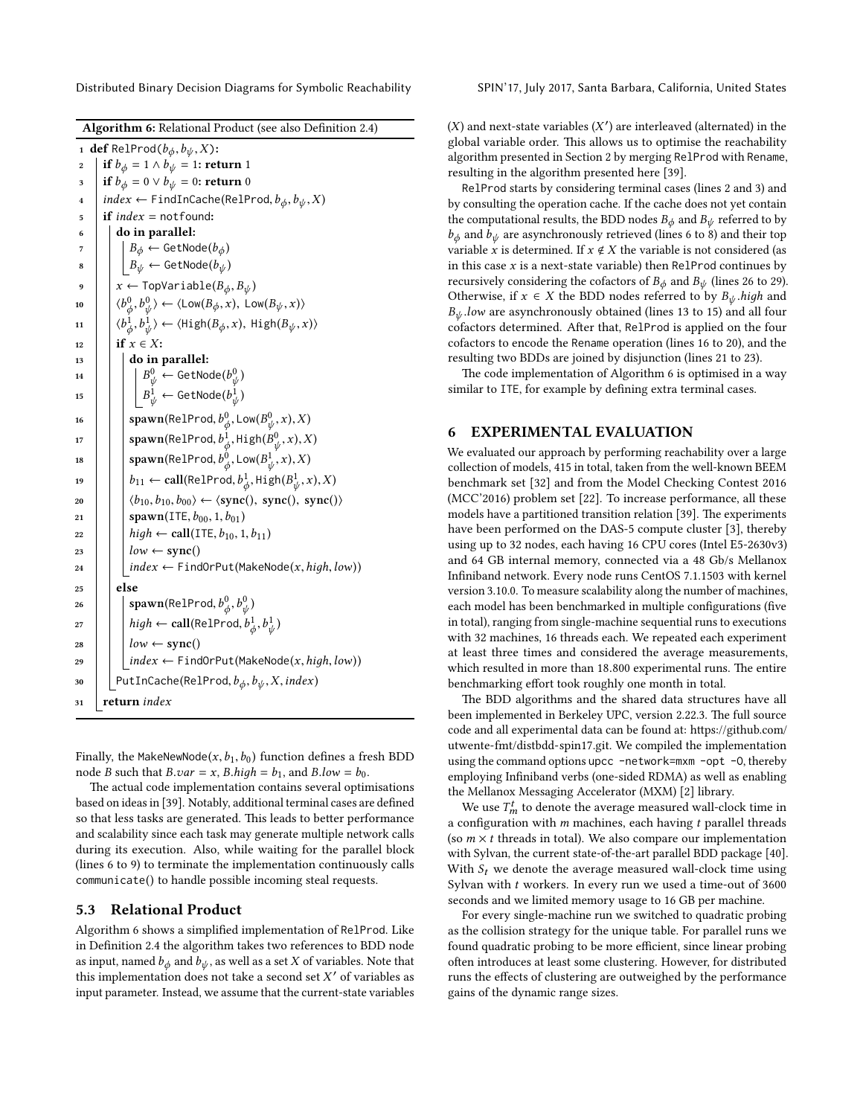Distributed Binary Decision Diagrams for Symbolic Reachability SPIN'17, July 2017, Santa Barbara, California, United States

<span id="page-6-10"></span><span id="page-6-9"></span><span id="page-6-8"></span><span id="page-6-5"></span><span id="page-6-4"></span><span id="page-6-3"></span><span id="page-6-2"></span>

| 1                | <b>def</b> RelProd( $b_{\phi}, b_{\psi}, X$ ):                                                                                                                                  |
|------------------|---------------------------------------------------------------------------------------------------------------------------------------------------------------------------------|
| $\boldsymbol{2}$ | if $b_{\phi} = 1 \wedge b_{\psi} = 1$ : return 1                                                                                                                                |
| 3                | if $b_{\phi} = 0 \vee b_{\psi} = 0$ : return 0                                                                                                                                  |
| $\overline{4}$   | $index \leftarrow \text{FindInCache(RelProd}, b_{\phi}, b_{\psi}, X)$                                                                                                           |
| 5                | <b>if</b> $index = notfound$ :                                                                                                                                                  |
| 6                | do in parallel:                                                                                                                                                                 |
| 7                | $B_{\phi} \leftarrow$ GetNode $(b_{\phi})$                                                                                                                                      |
| 8                | $B_{\psi} \leftarrow \textsf{GetNode}(b_{\psi})$                                                                                                                                |
| 9                | $x \leftarrow \text{TopVariable}(B_{\phi}, B_{\psi})$                                                                                                                           |
| 10               | $\langle b_\phi^0, b_\psi^0 \rangle \leftarrow \langle \text{Low}(B_\phi, x), \text{ Low}(B_\psi, x) \rangle$                                                                   |
| 11               | $\langle b^1_{\phi}, b^1_{\psi} \rangle \leftarrow \langle \text{High}(B_{\phi}, x), \ \text{High}(B_{\psi}, x) \rangle$                                                        |
| 12               | if $x \in X$ :                                                                                                                                                                  |
| 13               | do in parallel:                                                                                                                                                                 |
| 14               |                                                                                                                                                                                 |
| 15               | $\begin{array}{l} \left  \begin{array}{l} B^0_\psi \leftarrow \text{GetNode}(b^0_\psi) \\ B^1_\psi \leftarrow \text{GetNode}(b^1_\psi) \end{array} \right. \end{array} \right.$ |
| 16               | $\texttt{spam}(\text{RelProd}, b^0_\phi, \text{Low}(B^0_\psi, x), X)$                                                                                                           |
| 17               | $\texttt{spam}(\textsf{RelProd}, b^1_\phi, \textsf{High}(B^0_\psi, x), X)$                                                                                                      |
| 18               | $\texttt{spam}(\text{RelProd}, b^0_{\phi}, \text{Low}(B^1_{\psi}, x), X)$                                                                                                       |
| 19               | $b_{11} \leftarrow \text{call}(\text{RelProd}, b^1_{\phi}, \text{High}(B^1_{\psi}, x), X)$                                                                                      |
| 20               | $\langle b_{10}, b_{10}, b_{00} \rangle \leftarrow \langle \text{sync}(), \text{ sync}(), \text{ sync}() \rangle$                                                               |
| 21               | spawn(ITE, $b_{00}$ , 1, $b_{01}$ )                                                                                                                                             |
| 22               | $high \leftarrow \text{call}(\text{ITE}, b_{10}, 1, b_{11})$                                                                                                                    |
| 23               | $low \leftarrow sync()$                                                                                                                                                         |
| 24               | $index \leftarrow \text{FindOrPut}(\text{MakeNode}(x, high, low))$                                                                                                              |
| 25               | else                                                                                                                                                                            |
| 26               | $\texttt{spam}(\textsf{RelProd}, b^0_\phi, b^0_\psi)$                                                                                                                           |
| 27               | $high \leftarrow \text{call}(\text{RelProd}, b^1_\phi, b^1_\psi)$                                                                                                               |
| 28               | $low \leftarrow sync()$                                                                                                                                                         |
| 29               | $index \leftarrow \text{FindOrPut}(\text{MakeNode}(x, high, low))$                                                                                                              |
| 30               | PutInCache(RelProd, $b_{\phi}$ , $b_{\psi}$ , X, index)                                                                                                                         |
| 31               | return index                                                                                                                                                                    |

<span id="page-6-13"></span><span id="page-6-12"></span><span id="page-6-11"></span><span id="page-6-7"></span><span id="page-6-6"></span><span id="page-6-1"></span>Finally, the MakeNewNode $(x,b_1,b_0)$  function defines a fresh BDD node *B* such that *B*.*var* = *x*, *B*.*high* =  $b_1$ , and *B*.*low* =  $b_0$ .

The actual code implementation contains several optimisations based on ideas in [\[39\]](#page-9-4). Notably, additional terminal cases are defined so that less tasks are generated. This leads to better performance and scalability since each task may generate multiple network calls during its execution. Also, while waiting for the parallel block (lines [6](#page-5-5) to [9\)](#page-5-6) to terminate the implementation continuously calls communicate() to handle possible incoming steal requests.

#### 5.3 Relational Product

[Algorithm 6](#page-6-1) shows a simplified implementation of RelProd. Like in Definition [2.4](#page-1-2) the algorithm takes two references to BDD node as input, named  $b_{\phi}$  and  $b_{\psi}$ , as well as a set X of variables. Note that this implementation does not take a second set  $X'$  of variables as input parameter. Instead, we assume that the current-state variables input parameter. Instead, we assume that the current-state variables

 $(X)$  and next-state variables  $(X')$  are interleaved (alternated) in the global variable order. This allows us to optimise the reachability global variable order. This allows us to optimise the reachability algorithm presented in [Section 2](#page-1-3) by merging RelProd with Rename, resulting in the algorithm presented here [\[39\]](#page-9-4).

RelProd starts by considering terminal cases (lines [2](#page-6-2) and [3\)](#page-6-3) and by consulting the operation cache. If the cache does not yet contain the computational results, the BDD nodes  $B_{\phi}$  and  $B_{\psi}$  referred to by  $b_{\phi}$  and  $b_{\psi}$  are asynchronously retrieved (lines [6](#page-6-4) to [8\)](#page-6-5) and their top variable x is determined. If  $x \notin X$  the variable is not considered (as in this case  $x$  is a next-state variable) then RelProd continues by recursively considering the cofactors of  $B_{\phi}$  and  $B_{\psi}$  (lines [26](#page-6-6) to [29\)](#page-6-7). Otherwise, if  $x \in X$  the BDD nodes referred to by  $B_{\psi}$  high and  $B_{\psi}$  low are asynchronously obtained (lines [13](#page-6-8) to [15\)](#page-6-9) and all four cofactors determined. After that, RelProd is applied on the four cofactors to encode the Rename operation (lines [16](#page-6-10) to [20\)](#page-6-11), and the resulting two BDDs are joined by disjunction (lines [21](#page-6-12) to [23\)](#page-6-13).

The code implementation of [Algorithm 6](#page-6-1) is optimised in a way similar to ITE, for example by defining extra terminal cases.

## <span id="page-6-0"></span>6 EXPERIMENTAL EVALUATION

We evaluated our approach by performing reachability over a large collection of models, 415 in total, taken from the well-known BEEM benchmark set [\[32\]](#page-9-35) and from the Model Checking Contest 2016 (MCC'2016) problem set [\[22\]](#page-9-36). To increase performance, all these models have a partitioned transition relation [\[39\]](#page-9-4). The experiments have been performed on the DAS-5 compute cluster [\[3\]](#page-9-37), thereby using up to 32 nodes, each having 16 CPU cores (Intel E5-2630v3) and 64 GB internal memory, connected via a 48 Gb/s Mellanox Infiniband network. Every node runs CentOS 7.1.1503 with kernel version 3.10.0. To measure scalability along the number of machines, each model has been benchmarked in multiple configurations (five in total), ranging from single-machine sequential runs to executions with 32 machines, 16 threads each. We repeated each experiment at least three times and considered the average measurements, which resulted in more than 18.800 experimental runs. The entire benchmarking effort took roughly one month in total.

The BDD algorithms and the shared data structures have all been implemented in Berkeley UPC, version 2.22.3. The full source code and all experimental data can be found at: https://github.com/ [utwente-fmt/distbdd-spin17.git.](https://github.com/utwente-fmt/distbdd-spin17.git) We compiled the implementation using the command options upcc -network=mxm -opt -0, thereby employing Infiniband verbs (one-sided RDMA) as well as enabling the Mellanox Messaging Accelerator (MXM) [\[2\]](#page-9-38) library.

We use  $T_m^t$  to denote the average measured wall-clock time in<br>configuration with m machines, each having t parallel threads a configuration with  $m$  machines, each having  $t$  parallel threads (so  $m \times t$  threads in total). We also compare our implementation with Sylvan, the current state-of-the-art parallel BDD package [\[40\]](#page-9-27). With  $S_t$  we denote the average measured wall-clock time using Sylvan with  $t$  workers. In every run we used a time-out of  $3600$ seconds and we limited memory usage to 16 GB per machine.

For every single-machine run we switched to quadratic probing as the collision strategy for the unique table. For parallel runs we found quadratic probing to be more efficient, since linear probing often introduces at least some clustering. However, for distributed runs the effects of clustering are outweighed by the performance gains of the dynamic range sizes.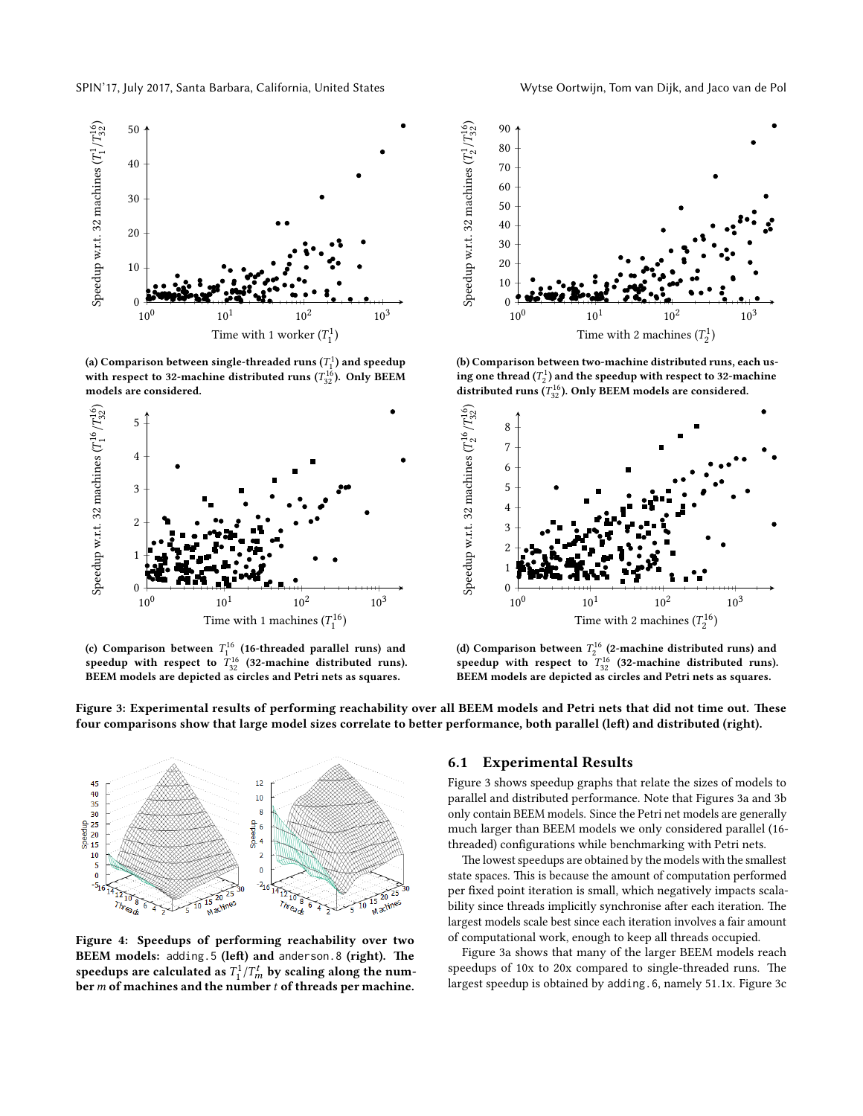<span id="page-7-0"></span>

(a) Comparison between single-threaded runs  $(T_1^1)$  and speedup<br>with respect to 22 moshing distributed runs  $(T_1^{16})$ . Only REEM with respect to 32-machine distributed runs ( $T_{32}^{16}$ ). Only BEEM<br>models are sonsidered models are considered.



(c) Comparison between  $T_1^{16}$  (16-threaded parallel runs) and<br>enordup with recognition  $T_1^{16}$  (22 mosting distributed runs) speedup with respect to  $T_{32}^{16}$  (32-machine distributed runs). BEEM models are depicted as circles and Petri nets as squares.



(b) Comparison between two-machine distributed runs, each using one thread  $(T_2^1)$  and the speedup with respect to 32-machine<br>distributed was  $(T^{16})$ . Only PEEM we delegan considered distributed runs ( $T_{32}^{16}$ ). Only BEEM models are considered.



(d) Comparison between  $T_2^{16}$  (2-machine distributed runs) and<br>enordup with recognition  $T_2^{16}$  (22 machine distributed runs) speedup with respect to  $T_{32}^{16}$  (32-machine distributed runs). BEEM models are depicted as circles and Petri nets as squares.

Figure 3: Experimental results of performing reachability over all BEEM models and Petri nets that did not time out. These four comparisons show that large model sizes correlate to better performance, both parallel (left) and distributed (right).

<span id="page-7-1"></span>

Figure 4: Speedups of performing reachability over two BEEM models: adding.5 (left) and anderson.8 (right). The speedups are calculated as  $T_1^1/T_m^t$  by scaling along the num-<br>her m of machines and the number t of threads per machine  $\frac{1}{b}$  or  $m$  of machines and the number t of threads per machine.

#### 6.1 Experimental Results

[Figure 3](#page-7-0) shows speedup graphs that relate the sizes of models to parallel and distributed performance. Note that Figures [3a](#page-7-0) and [3b](#page-7-0) only contain BEEM models. Since the Petri net models are generally much larger than BEEM models we only considered parallel (16 threaded) configurations while benchmarking with Petri nets.

The lowest speedups are obtained by the models with the smallest state spaces. This is because the amount of computation performed per fixed point iteration is small, which negatively impacts scalability since threads implicitly synchronise after each iteration. The largest models scale best since each iteration involves a fair amount of computational work, enough to keep all threads occupied.

[Figure 3a](#page-7-0) shows that many of the larger BEEM models reach speedups of 10x to 20x compared to single-threaded runs. The largest speedup is obtained by adding.6, namely 51.1x. [Figure 3c](#page-7-0)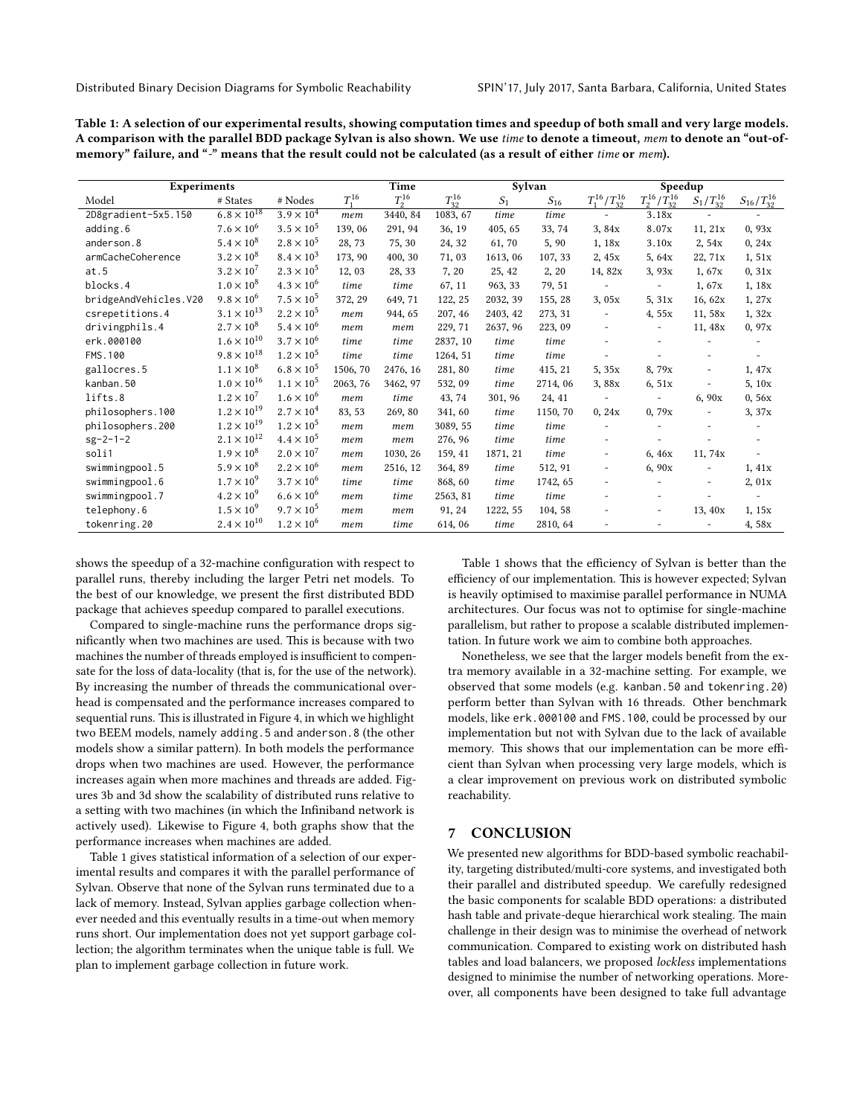<span id="page-8-1"></span>

| Table 1: A selection of our experimental results, showing computation times and speedup of both small and very large models.       |
|------------------------------------------------------------------------------------------------------------------------------------|
| A comparison with the parallel BDD package Sylvan is also shown. We use <i>time</i> to denote a timeout, mem to denote an "out-of- |
| memory" failure, and "-" means that the result could not be calculated (as a result of either time or mem).                        |

| <b>Experiments</b>    |                      |                     | Time     |            |               | Sylvan         |          |                          | Speedup                  |                   |                          |
|-----------------------|----------------------|---------------------|----------|------------|---------------|----------------|----------|--------------------------|--------------------------|-------------------|--------------------------|
| Model                 | # States             | # Nodes             | $T^{16}$ | $T_2^{16}$ | $T_{32}^{16}$ | S <sub>1</sub> | $S_{16}$ | $T_1^{16}/T_{32}^{16}$   | $T_2^{16}/T_{32}^{16}$   | $S_1/T_{32}^{16}$ | $S_{16}/T_{32}^{16}$     |
| 2D8gradient-5x5.150   | $6.8 \times 10^{18}$ | $3.9 \times 10^{4}$ | mem      | 3440, 84   | 1083, 67      | time           | time     |                          | 3.18x                    |                   |                          |
| adding.6              | $7.6 \times 10^{6}$  | $3.5 \times 10^{5}$ | 139, 06  | 291, 94    | 36, 19        | 405, 65        | 33, 74   | 3,84x                    | 8.07x                    | 11, 21x           | 0,93x                    |
| anderson.8            | $5.4 \times 10^{8}$  | $2.8 \times 10^{5}$ | 28,73    | 75, 30     | 24, 32        | 61,70          | 5, 90    | 1,18x                    | 3.10x                    | 2,54x             | 0, 24x                   |
| armCacheCoherence     | $3.2 \times 10^{8}$  | $8.4 \times 10^{3}$ | 173, 90  | 400, 30    | 71,03         | 1613.06        | 107, 33  | 2,45x                    | 5,64x                    | 22, 71x           | 1,51x                    |
| at.5                  | $3.2 \times 10^{7}$  | $2.3 \times 10^{5}$ | 12, 03   | 28, 33     | 7, 20         | 25, 42         | 2, 20    | 14,82x                   | 3,93x                    | 1,67x             | 0, 31x                   |
| blocks.4              | $1.0 \times 10^{8}$  | $4.3 \times 10^{6}$ | time     | time       | 67, 11        | 963, 33        | 79, 51   | $\overline{\phantom{a}}$ | $\overline{\phantom{a}}$ | 1,67x             | 1, 18x                   |
| bridgeAndVehicles.V20 | $9.8 \times 10^{6}$  | $7.5 \times 10^{5}$ | 372, 29  | 649, 71    | 122, 25       | 2032, 39       | 155, 28  | 3,05x                    | 5.31x                    | 16, 62x           | 1, 27x                   |
| csrepetitions.4       | $3.1 \times 10^{13}$ | $2.2 \times 10^{5}$ | mem      | 944, 65    | 207, 46       | 2403, 42       | 273, 31  | $\overline{\phantom{a}}$ | 4.55x                    | 11,58x            | 1,32x                    |
| drivingphils.4        | $2.7 \times 10^{8}$  | $5.4 \times 10^{6}$ | mem      | mem        | 229, 71       | 2637, 96       | 223, 09  |                          | $\overline{\phantom{a}}$ | 11, 48x           | 0,97x                    |
| erk.000100            | $1.6 \times 10^{10}$ | $3.7 \times 10^{6}$ | time     | time       | 2837, 10      | time           | time     |                          |                          |                   |                          |
| FMS.100               | $9.8 \times 10^{18}$ | $1.2 \times 10^{5}$ | time     | time       | 1264, 51      | time           | time     |                          |                          |                   |                          |
| gallocres.5           | $1.1 \times 10^{8}$  | $6.8 \times 10^{5}$ | 1506, 70 | 2476, 16   | 281, 80       | time           | 415, 21  | 5,35x                    | 8,79x                    |                   | 1, 47x                   |
| kanban.50             | $1.0 \times 10^{16}$ | $1.1 \times 10^{5}$ | 2063, 76 | 3462, 97   | 532, 09       | time           | 2714,06  | 3.88x                    | 6,51x                    |                   | 5, 10x                   |
| lifts.8               | $1.2 \times 10^{7}$  | $1.6 \times 10^{6}$ | mem      | time       | 43, 74        | 301, 96        | 24, 41   | $\overline{\phantom{a}}$ | $\overline{\phantom{a}}$ | 6,90x             | 0,56x                    |
| philosophers.100      | $1.2 \times 10^{19}$ | $2.7 \times 10^{4}$ | 83, 53   | 269, 80    | 341, 60       | time           | 1150, 70 | 0, 24x                   | 0,79x                    |                   | 3, 37x                   |
| philosophers.200      | $1.2 \times 10^{19}$ | $1.2 \times 10^{5}$ | mem      | mem        | 3089, 55      | time           | time     |                          |                          |                   |                          |
| $sg-2-1-2$            | $2.1 \times 10^{12}$ | $4.4 \times 10^{5}$ | mem      | mem        | 276, 96       | time           | time     | $\overline{\phantom{a}}$ |                          |                   |                          |
| soli1                 | $1.9 \times 10^{8}$  | $2.0 \times 10^{7}$ | mem      | 1030, 26   | 159, 41       | 1871.21        | time     | $\overline{\phantom{a}}$ | 6.46x                    | 11, 74x           |                          |
| swimmingpool.5        | $5.9 \times 10^{8}$  | $2.2 \times 10^{6}$ | mem      | 2516, 12   | 364, 89       | time           | 512, 91  | $\overline{\phantom{a}}$ | 6,90x                    |                   | 1, 41x                   |
| swimmingpool.6        | $1.7 \times 10^{9}$  | $3.7 \times 10^{6}$ | time     | time       | 868, 60       | time           | 1742, 65 |                          |                          |                   | 2,01x                    |
| swimmingpool.7        | $4.2 \times 10^{9}$  | $6.6 \times 10^{6}$ | mem      | time       | 2563, 81      | time           | time     |                          |                          |                   | $\overline{\phantom{a}}$ |
| telephony.6           | $1.5 \times 10^{9}$  | $9.7 \times 10^{5}$ | mem      | mem        | 91, 24        | 1222.55        | 104, 58  |                          | ٠                        | 13, 40x           | 1, 15x                   |
| tokenring.20          | $2.4 \times 10^{10}$ | $1.2 \times 10^{6}$ | mem      | time       | 614, 06       | time           | 2810, 64 | $\overline{\phantom{a}}$ |                          |                   | 4,58x                    |

shows the speedup of a 32-machine configuration with respect to parallel runs, thereby including the larger Petri net models. To the best of our knowledge, we present the first distributed BDD package that achieves speedup compared to parallel executions.

Compared to single-machine runs the performance drops significantly when two machines are used. This is because with two machines the number of threads employed is insufficient to compensate for the loss of data-locality (that is, for the use of the network). By increasing the number of threads the communicational overhead is compensated and the performance increases compared to sequential runs. This is illustrated in [Figure 4,](#page-7-1) in which we highlight two BEEM models, namely adding.5 and anderson.8 (the other models show a similar pattern). In both models the performance drops when two machines are used. However, the performance increases again when more machines and threads are added. Figures [3b](#page-7-0) and [3d](#page-7-0) show the scalability of distributed runs relative to a setting with two machines (in which the Infiniband network is actively used). Likewise to [Figure 4,](#page-7-1) both graphs show that the performance increases when machines are added.

[Table 1](#page-8-1) gives statistical information of a selection of our experimental results and compares it with the parallel performance of Sylvan. Observe that none of the Sylvan runs terminated due to a lack of memory. Instead, Sylvan applies garbage collection whenever needed and this eventually results in a time-out when memory runs short. Our implementation does not yet support garbage collection; the algorithm terminates when the unique table is full. We plan to implement garbage collection in future work.

[Table 1](#page-8-1) shows that the efficiency of Sylvan is better than the efficiency of our implementation. This is however expected; Sylvan is heavily optimised to maximise parallel performance in NUMA architectures. Our focus was not to optimise for single-machine parallelism, but rather to propose a scalable distributed implementation. In future work we aim to combine both approaches.

Nonetheless, we see that the larger models benefit from the extra memory available in a 32-machine setting. For example, we observed that some models (e.g. kanban.50 and tokenring.20) perform better than Sylvan with 16 threads. Other benchmark models, like erk.000100 and FMS.100, could be processed by our implementation but not with Sylvan due to the lack of available memory. This shows that our implementation can be more efficient than Sylvan when processing very large models, which is a clear improvement on previous work on distributed symbolic reachability.

## <span id="page-8-0"></span>7 CONCLUSION

We presented new algorithms for BDD-based symbolic reachability, targeting distributed/multi-core systems, and investigated both their parallel and distributed speedup. We carefully redesigned the basic components for scalable BDD operations: a distributed hash table and private-deque hierarchical work stealing. The main challenge in their design was to minimise the overhead of network communication. Compared to existing work on distributed hash tables and load balancers, we proposed lockless implementations designed to minimise the number of networking operations. Moreover, all components have been designed to take full advantage